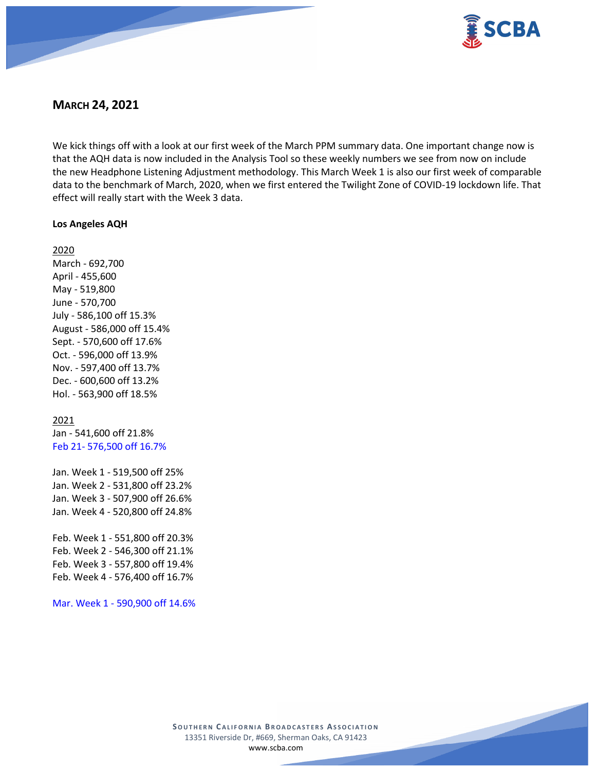

# **MARCH 24, 2021**

We kick things off with a look at our first week of the March PPM summary data. One important change now is that the AQH data is now included in the Analysis Tool so these weekly numbers we see from now on include the new Headphone Listening Adjustment methodology. This March Week 1 is also our first week of comparable data to the benchmark of March, 2020, when we first entered the Twilight Zone of COVID-19 lockdown life. That effect will really start with the Week 3 data.

## **Los Angeles AQH**

2020 March - 692,700 April - 455,600 May - 519,800 June - 570,700 July - 586,100 off 15.3% August - 586,000 off 15.4% Sept. - 570,600 off 17.6% Oct. - 596,000 off 13.9% Nov. - 597,400 off 13.7% Dec. - 600,600 off 13.2% Hol. - 563,900 off 18.5%

# 2021

Jan - 541,600 off 21.8% Feb 21- 576,500 off 16.7%

Jan. Week 1 - 519,500 off 25% Jan. Week 2 - 531,800 off 23.2% Jan. Week 3 - 507,900 off 26.6% Jan. Week 4 - 520,800 off 24.8%

Feb. Week 1 - 551,800 off 20.3% Feb. Week 2 - 546,300 off 21.1% Feb. Week 3 - 557,800 off 19.4% Feb. Week 4 - 576,400 off 16.7%

Mar. Week 1 - 590,900 off 14.6%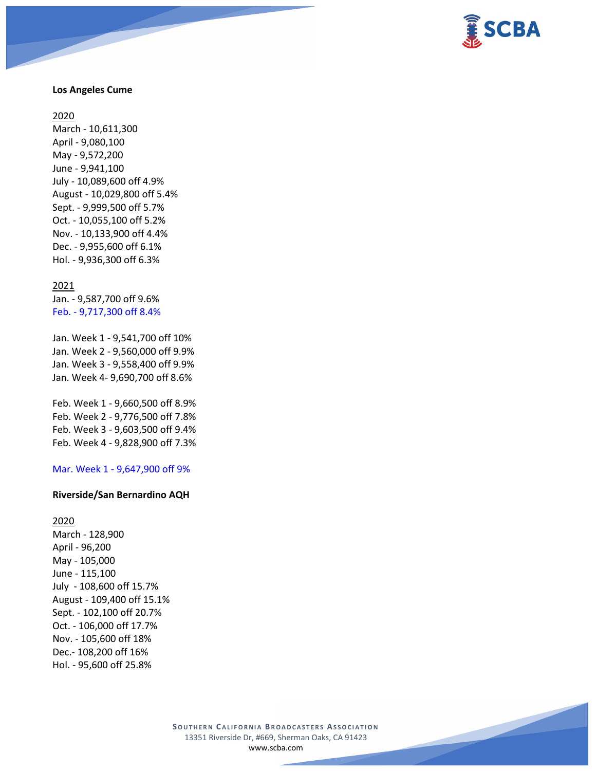

## **Los Angeles Cume**

### 2020

March - 10,611,300 April - 9,080,100 May - 9,572,200 June - 9,941,100 July - 10,089,600 off 4.9% August - 10,029,800 off 5.4% Sept. - 9,999,500 off 5.7% Oct. - 10,055,100 off 5.2% Nov. - 10,133,900 off 4.4% Dec. - 9,955,600 off 6.1% Hol. - 9,936,300 off 6.3%

### 2021

Jan. - 9,587,700 off 9.6% Feb. - 9,717,300 off 8.4%

Jan. Week 1 - 9,541,700 off 10% Jan. Week 2 - 9,560,000 off 9.9% Jan. Week 3 - 9,558,400 off 9.9% Jan. Week 4- 9,690,700 off 8.6%

Feb. Week 1 - 9,660,500 off 8.9% Feb. Week 2 - 9,776,500 off 7.8% Feb. Week 3 - 9,603,500 off 9.4% Feb. Week 4 - 9,828,900 off 7.3%

### Mar. Week 1 - 9,647,900 off 9%

### **Riverside/San Bernardino AQH**

# 2020

March - 128,900 April - 96,200 May - 105,000 June - 115,100 July - 108,600 off 15.7% August - 109,400 off 15.1% Sept. - 102,100 off 20.7% Oct. - 106,000 off 17.7% Nov. - 105,600 off 18% Dec.- 108,200 off 16% Hol. - 95,600 off 25.8%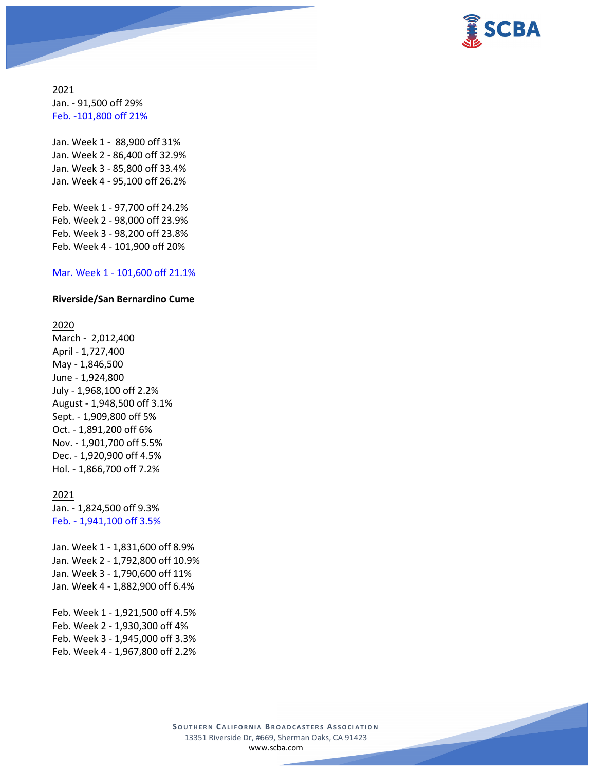

2021 Jan. - 91,500 off 29% Feb. -101,800 off 21%

Jan. Week 1 - 88,900 off 31% Jan. Week 2 - 86,400 off 32.9% Jan. Week 3 - 85,800 off 33.4% Jan. Week 4 - 95,100 off 26.2%

Feb. Week 1 - 97,700 off 24.2% Feb. Week 2 - 98,000 off 23.9% Feb. Week 3 - 98,200 off 23.8% Feb. Week 4 - 101,900 off 20%

### Mar. Week 1 - 101,600 off 21.1%

### **Riverside/San Bernardino Cume**

### 2020

March - 2,012,400 April - 1,727,400 May - 1,846,500 June - 1,924,800 July - 1,968,100 off 2.2% August - 1,948,500 off 3.1% Sept. - 1,909,800 off 5% Oct. - 1,891,200 off 6% Nov. - 1,901,700 off 5.5% Dec. - 1,920,900 off 4.5% Hol. - 1,866,700 off 7.2%

### 2021

Jan. - 1,824,500 off 9.3% Feb. - 1,941,100 off 3.5%

Jan. Week 1 - 1,831,600 off 8.9% Jan. Week 2 - 1,792,800 off 10.9% Jan. Week 3 - 1,790,600 off 11% Jan. Week 4 - 1,882,900 off 6.4%

Feb. Week 1 - 1,921,500 off 4.5% Feb. Week 2 - 1,930,300 off 4% Feb. Week 3 - 1,945,000 off 3.3% Feb. Week 4 - 1,967,800 off 2.2%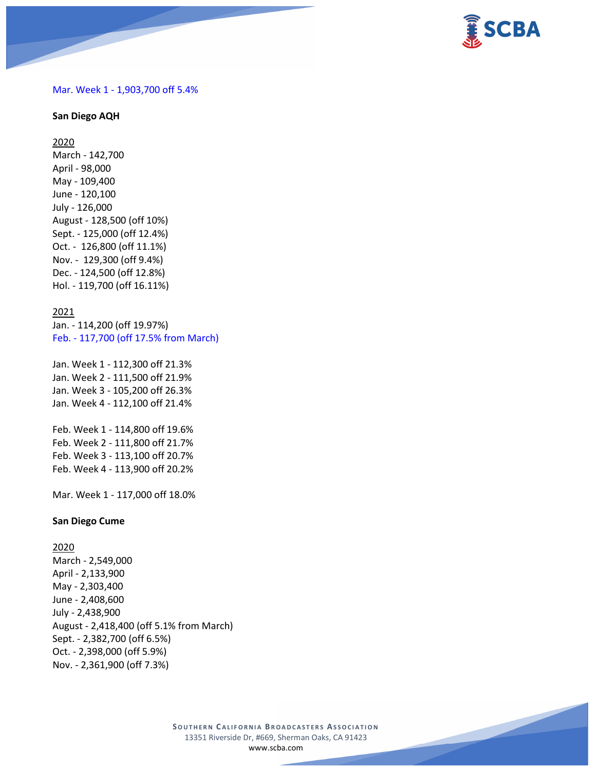

### Mar. Week 1 - 1,903,700 off 5.4%

### **San Diego AQH**

2020 March - 142,700 April - 98,000 May - 109,400 June - 120,100 July - 126,000 August - 128,500 (off 10%) Sept. - 125,000 (off 12.4%) Oct. - 126,800 (off 11.1%) Nov. - 129,300 (off 9.4%) Dec. - 124,500 (off 12.8%) Hol. - 119,700 (off 16.11%)

### 2021

Jan. - 114,200 (off 19.97%) Feb. - 117,700 (off 17.5% from March)

Jan. Week 1 - 112,300 off 21.3% Jan. Week 2 - 111,500 off 21.9% Jan. Week 3 - 105,200 off 26.3% Jan. Week 4 - 112,100 off 21.4%

Feb. Week 1 - 114,800 off 19.6% Feb. Week 2 - 111,800 off 21.7% Feb. Week 3 - 113,100 off 20.7% Feb. Week 4 - 113,900 off 20.2%

Mar. Week 1 - 117,000 off 18.0%

### **San Diego Cume**

2020

March - 2,549,000 April - 2,133,900 May - 2,303,400 June - 2,408,600 July - 2,438,900 August - 2,418,400 (off 5.1% from March) Sept. - 2,382,700 (off 6.5%) Oct. - 2,398,000 (off 5.9%) Nov. - 2,361,900 (off 7.3%)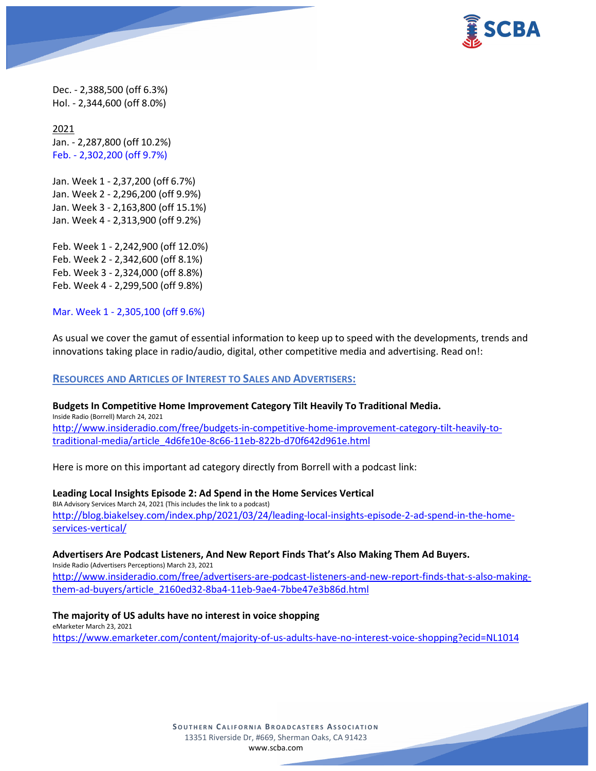

Dec. - 2,388,500 (off 6.3%) Hol. - 2,344,600 (off 8.0%)

2021 Jan. - 2,287,800 (off 10.2%) Feb. - 2,302,200 (off 9.7%)

Jan. Week 1 - 2,37,200 (off 6.7%) Jan. Week 2 - 2,296,200 (off 9.9%) Jan. Week 3 - 2,163,800 (off 15.1%) Jan. Week 4 - 2,313,900 (off 9.2%)

Feb. Week 1 - 2,242,900 (off 12.0%) Feb. Week 2 - 2,342,600 (off 8.1%) Feb. Week 3 - 2,324,000 (off 8.8%) Feb. Week 4 - 2,299,500 (off 9.8%)

Mar. Week 1 - 2,305,100 (off 9.6%)

As usual we cover the gamut of essential information to keep up to speed with the developments, trends and innovations taking place in radio/audio, digital, other competitive media and advertising. Read on!:

## **RESOURCES AND ARTICLES OF INTEREST TO SALES AND ADVERTISERS:**

**Budgets In Competitive Home Improvement Category Tilt Heavily To Traditional Media.** Inside Radio (Borrell) March 24, 2021 [http://www.insideradio.com/free/budgets-in-competitive-home-improvement-category-tilt-heavily-to](http://www.insideradio.com/free/budgets-in-competitive-home-improvement-category-tilt-heavily-to-traditional-media/article_4d6fe10e-8c66-11eb-822b-d70f642d961e.html)[traditional-media/article\\_4d6fe10e-8c66-11eb-822b-d70f642d961e.html](http://www.insideradio.com/free/budgets-in-competitive-home-improvement-category-tilt-heavily-to-traditional-media/article_4d6fe10e-8c66-11eb-822b-d70f642d961e.html)

Here is more on this important ad category directly from Borrell with a podcast link:

### **Leading Local Insights Episode 2: Ad Spend in the Home Services Vertical**

BIA Advisory Services March 24, 2021 (This includes the link to a podcast) [http://blog.biakelsey.com/index.php/2021/03/24/leading-local-insights-episode-2-ad-spend-in-the-home](http://blog.biakelsey.com/index.php/2021/03/24/leading-local-insights-episode-2-ad-spend-in-the-home-services-vertical/)[services-vertical/](http://blog.biakelsey.com/index.php/2021/03/24/leading-local-insights-episode-2-ad-spend-in-the-home-services-vertical/)

## **Advertisers Are Podcast Listeners, And New Report Finds That's Also Making Them Ad Buyers.**

Inside Radio (Advertisers Perceptions) March 23, 2021 [http://www.insideradio.com/free/advertisers-are-podcast-listeners-and-new-report-finds-that-s-also-making](http://www.insideradio.com/free/advertisers-are-podcast-listeners-and-new-report-finds-that-s-also-making-them-ad-buyers/article_2160ed32-8ba4-11eb-9ae4-7bbe47e3b86d.html)[them-ad-buyers/article\\_2160ed32-8ba4-11eb-9ae4-7bbe47e3b86d.html](http://www.insideradio.com/free/advertisers-are-podcast-listeners-and-new-report-finds-that-s-also-making-them-ad-buyers/article_2160ed32-8ba4-11eb-9ae4-7bbe47e3b86d.html)

# **The majority of US adults have no interest in voice shopping** eMarketer March 23, 2021

<https://www.emarketer.com/content/majority-of-us-adults-have-no-interest-voice-shopping?ecid=NL1014>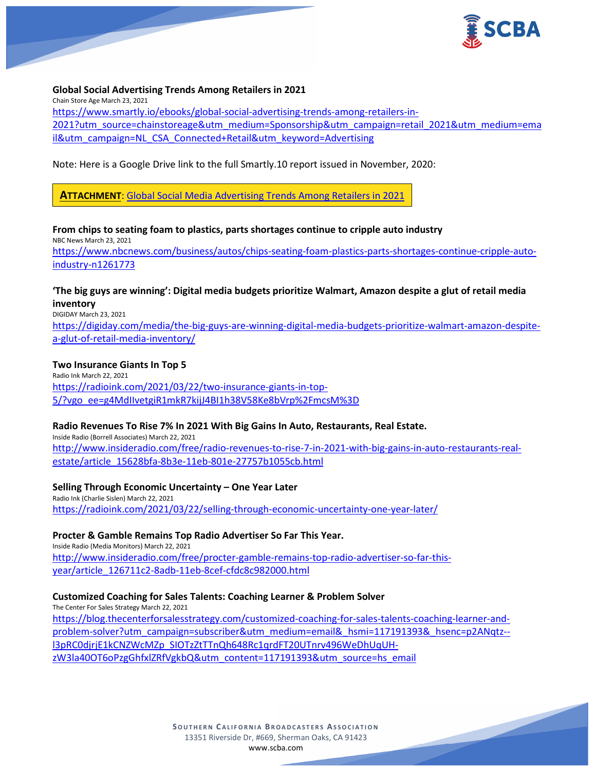

## **Global Social Advertising Trends Among Retailers in 2021**

Chain Store Age March 23, 2021 [https://www.smartly.io/ebooks/global-social-advertising-trends-among-retailers-in-](https://www.smartly.io/ebooks/global-social-advertising-trends-among-retailers-in-2021?utm_source=chainstoreage&utm_medium=Sponsorship&utm_campaign=retail_2021&utm_medium=email&utm_campaign=NL_CSA_Connected+Retail&utm_keyword=Advertising)[2021?utm\\_source=chainstoreage&utm\\_medium=Sponsorship&utm\\_campaign=retail\\_2021&utm\\_medium=ema](https://www.smartly.io/ebooks/global-social-advertising-trends-among-retailers-in-2021?utm_source=chainstoreage&utm_medium=Sponsorship&utm_campaign=retail_2021&utm_medium=email&utm_campaign=NL_CSA_Connected+Retail&utm_keyword=Advertising) [il&utm\\_campaign=NL\\_CSA\\_Connected+Retail&utm\\_keyword=Advertising](https://www.smartly.io/ebooks/global-social-advertising-trends-among-retailers-in-2021?utm_source=chainstoreage&utm_medium=Sponsorship&utm_campaign=retail_2021&utm_medium=email&utm_campaign=NL_CSA_Connected+Retail&utm_keyword=Advertising)

Note: Here is a Google Drive link to the full Smartly.10 report issued in November, 2020:

**ATTACHMENT**: [Global Social Media Advertising Trends Among Retailers in 2021](https://scba.com/smartly-10-social-ad-trends-2021-report-retail/)

#### **From chips to seating foam to plastics, parts shortages continue to cripple auto industry** NBC News March 23, 2021

[https://www.nbcnews.com/business/autos/chips-seating-foam-plastics-parts-shortages-continue-cripple-auto](https://www.nbcnews.com/business/autos/chips-seating-foam-plastics-parts-shortages-continue-cripple-auto-industry-n1261773)[industry-n1261773](https://www.nbcnews.com/business/autos/chips-seating-foam-plastics-parts-shortages-continue-cripple-auto-industry-n1261773)

# **'The big guys are winning': Digital media budgets prioritize Walmart, Amazon despite a glut of retail media inventory**

DIGIDAY March 23, 2021

[https://digiday.com/media/the-big-guys-are-winning-digital-media-budgets-prioritize-walmart-amazon-despite](https://digiday.com/media/the-big-guys-are-winning-digital-media-budgets-prioritize-walmart-amazon-despite-a-glut-of-retail-media-inventory/)[a-glut-of-retail-media-inventory/](https://digiday.com/media/the-big-guys-are-winning-digital-media-budgets-prioritize-walmart-amazon-despite-a-glut-of-retail-media-inventory/)

## **Two Insurance Giants In Top 5**

Radio Ink March 22, 2021 [https://radioink.com/2021/03/22/two-insurance-giants-in-top-](https://radioink.com/2021/03/22/two-insurance-giants-in-top-5/?vgo_ee=g4MdIIvetgiR1mkR7kijJ4BI1h38V58Ke8bVrp%2FmcsM%3D)[5/?vgo\\_ee=g4MdIIvetgiR1mkR7kijJ4BI1h38V58Ke8bVrp%2FmcsM%3D](https://radioink.com/2021/03/22/two-insurance-giants-in-top-5/?vgo_ee=g4MdIIvetgiR1mkR7kijJ4BI1h38V58Ke8bVrp%2FmcsM%3D)

## **Radio Revenues To Rise 7% In 2021 With Big Gains In Auto, Restaurants, Real Estate.**

Inside Radio (Borrell Associates) March 22, 2021 [http://www.insideradio.com/free/radio-revenues-to-rise-7-in-2021-with-big-gains-in-auto-restaurants-real](http://www.insideradio.com/free/radio-revenues-to-rise-7-in-2021-with-big-gains-in-auto-restaurants-real-estate/article_15628bfa-8b3e-11eb-801e-27757b1055cb.html)[estate/article\\_15628bfa-8b3e-11eb-801e-27757b1055cb.html](http://www.insideradio.com/free/radio-revenues-to-rise-7-in-2021-with-big-gains-in-auto-restaurants-real-estate/article_15628bfa-8b3e-11eb-801e-27757b1055cb.html)

# **Selling Through Economic Uncertainty – One Year Later**

Radio Ink (Charlie Sislen) March 22, 2021 <https://radioink.com/2021/03/22/selling-through-economic-uncertainty-one-year-later/>

## **Procter & Gamble Remains Top Radio Advertiser So Far This Year.**

Inside Radio (Media Monitors) March 22, 2021 [http://www.insideradio.com/free/procter-gamble-remains-top-radio-advertiser-so-far-this](http://www.insideradio.com/free/procter-gamble-remains-top-radio-advertiser-so-far-this-year/article_126711c2-8adb-11eb-8cef-cfdc8c982000.html)[year/article\\_126711c2-8adb-11eb-8cef-cfdc8c982000.html](http://www.insideradio.com/free/procter-gamble-remains-top-radio-advertiser-so-far-this-year/article_126711c2-8adb-11eb-8cef-cfdc8c982000.html)

## **Customized Coaching for Sales Talents: Coaching Learner & Problem Solver**

The Center For Sales Strategy March 22, 2021 [https://blog.thecenterforsalesstrategy.com/customized-coaching-for-sales-talents-coaching-learner-and](https://blog.thecenterforsalesstrategy.com/customized-coaching-for-sales-talents-coaching-learner-and-problem-solver?utm_campaign=subscriber&utm_medium=email&_hsmi=117191393&_hsenc=p2ANqtz--l3pRC0djrjE1kCNZWcMZp_SIOTzZtTTnQh648Rc1qrdFT20UTnrv496WeDhUqUH-zW3la40OT6oPzgGhfxlZRfVgkbQ&utm_content=117191393&utm_source=hs_email)[problem-solver?utm\\_campaign=subscriber&utm\\_medium=email&\\_hsmi=117191393&\\_hsenc=p2ANqtz-](https://blog.thecenterforsalesstrategy.com/customized-coaching-for-sales-talents-coaching-learner-and-problem-solver?utm_campaign=subscriber&utm_medium=email&_hsmi=117191393&_hsenc=p2ANqtz--l3pRC0djrjE1kCNZWcMZp_SIOTzZtTTnQh648Rc1qrdFT20UTnrv496WeDhUqUH-zW3la40OT6oPzgGhfxlZRfVgkbQ&utm_content=117191393&utm_source=hs_email) [l3pRC0djrjE1kCNZWcMZp\\_SIOTzZtTTnQh648Rc1qrdFT20UTnrv496WeDhUqUH](https://blog.thecenterforsalesstrategy.com/customized-coaching-for-sales-talents-coaching-learner-and-problem-solver?utm_campaign=subscriber&utm_medium=email&_hsmi=117191393&_hsenc=p2ANqtz--l3pRC0djrjE1kCNZWcMZp_SIOTzZtTTnQh648Rc1qrdFT20UTnrv496WeDhUqUH-zW3la40OT6oPzgGhfxlZRfVgkbQ&utm_content=117191393&utm_source=hs_email)[zW3la40OT6oPzgGhfxlZRfVgkbQ&utm\\_content=117191393&utm\\_source=hs\\_email](https://blog.thecenterforsalesstrategy.com/customized-coaching-for-sales-talents-coaching-learner-and-problem-solver?utm_campaign=subscriber&utm_medium=email&_hsmi=117191393&_hsenc=p2ANqtz--l3pRC0djrjE1kCNZWcMZp_SIOTzZtTTnQh648Rc1qrdFT20UTnrv496WeDhUqUH-zW3la40OT6oPzgGhfxlZRfVgkbQ&utm_content=117191393&utm_source=hs_email)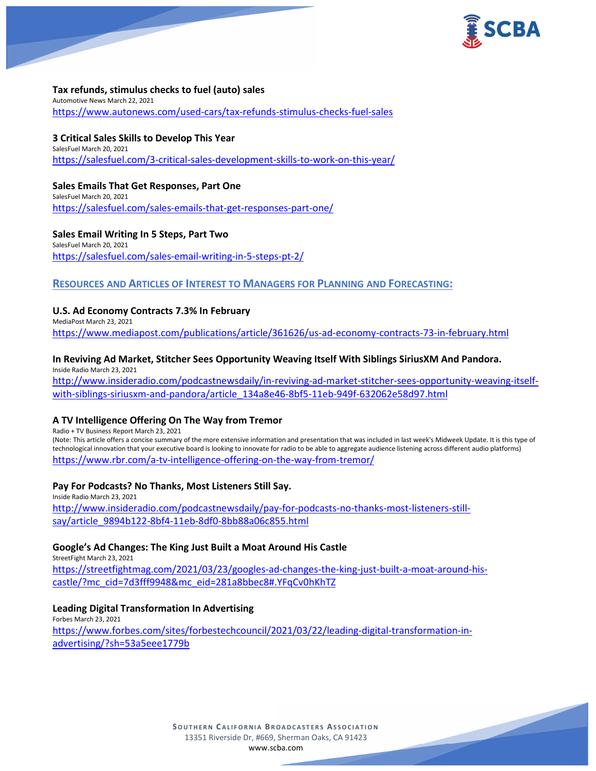

## **Tax refunds, stimulus checks to fuel (auto) sales**

Automotive News March 22, 2021 <https://www.autonews.com/used-cars/tax-refunds-stimulus-checks-fuel-sales>

# **3 Critical Sales Skills to Develop This Year**

SalesFuel March 20, 2021 <https://salesfuel.com/3-critical-sales-development-skills-to-work-on-this-year/>

## **Sales Emails That Get Responses, Part One**

SalesFuel March 20, 2021 <https://salesfuel.com/sales-emails-that-get-responses-part-one/>

## **Sales Email Writing In 5 Steps, Part Two**

SalesFuel March 20, 2021 <https://salesfuel.com/sales-email-writing-in-5-steps-pt-2/>

# **RESOURCES AND ARTICLES OF INTEREST TO MANAGERS FOR PLANNING AND FORECASTING:**

# **U.S. Ad Economy Contracts 7.3% In February**

MediaPost March 23, 2021 <https://www.mediapost.com/publications/article/361626/us-ad-economy-contracts-73-in-february.html>

# **In Reviving Ad Market, Stitcher Sees Opportunity Weaving Itself With Siblings SiriusXM And Pandora.**

Inside Radio March 23, 2021 [http://www.insideradio.com/podcastnewsdaily/in-reviving-ad-market-stitcher-sees-opportunity-weaving-itself](http://www.insideradio.com/podcastnewsdaily/in-reviving-ad-market-stitcher-sees-opportunity-weaving-itself-with-siblings-siriusxm-and-pandora/article_134a8e46-8bf5-11eb-949f-632062e58d97.html)[with-siblings-siriusxm-and-pandora/article\\_134a8e46-8bf5-11eb-949f-632062e58d97.html](http://www.insideradio.com/podcastnewsdaily/in-reviving-ad-market-stitcher-sees-opportunity-weaving-itself-with-siblings-siriusxm-and-pandora/article_134a8e46-8bf5-11eb-949f-632062e58d97.html)

# **A TV Intelligence Offering On The Way from Tremor**

Radio + TV Business Report March 23, 2021

(Note: This article offers a concise summary of the more extensive information and presentation that was included in last week's Midweek Update. It is this type of technological innovation that your executive board is looking to innovate for radio to be able to aggregate audience listening across different audio platforms) <https://www.rbr.com/a-tv-intelligence-offering-on-the-way-from-tremor/>

# **Pay For Podcasts? No Thanks, Most Listeners Still Say.**

Inside Radio March 23, 2021 [http://www.insideradio.com/podcastnewsdaily/pay-for-podcasts-no-thanks-most-listeners-still](http://www.insideradio.com/podcastnewsdaily/pay-for-podcasts-no-thanks-most-listeners-still-say/article_9894b122-8bf4-11eb-8df0-8bb88a06c855.html)[say/article\\_9894b122-8bf4-11eb-8df0-8bb88a06c855.html](http://www.insideradio.com/podcastnewsdaily/pay-for-podcasts-no-thanks-most-listeners-still-say/article_9894b122-8bf4-11eb-8df0-8bb88a06c855.html)

# **Google's Ad Changes: The King Just Built a Moat Around His Castle**

StreetFight March 23, 2021 [https://streetfightmag.com/2021/03/23/googles-ad-changes-the-king-just-built-a-moat-around-his](https://streetfightmag.com/2021/03/23/googles-ad-changes-the-king-just-built-a-moat-around-his-castle/?mc_cid=7d3fff9948&mc_eid=281a8bbec8#.YFqCv0hKhTZ)[castle/?mc\\_cid=7d3fff9948&mc\\_eid=281a8bbec8#.YFqCv0hKhTZ](https://streetfightmag.com/2021/03/23/googles-ad-changes-the-king-just-built-a-moat-around-his-castle/?mc_cid=7d3fff9948&mc_eid=281a8bbec8#.YFqCv0hKhTZ)

# **Leading Digital Transformation In Advertising**

Forbes March 23, 2021 [https://www.forbes.com/sites/forbestechcouncil/2021/03/22/leading-digital-transformation-in](https://www.forbes.com/sites/forbestechcouncil/2021/03/22/leading-digital-transformation-in-advertising/?sh=53a5eee1779b)[advertising/?sh=53a5eee1779b](https://www.forbes.com/sites/forbestechcouncil/2021/03/22/leading-digital-transformation-in-advertising/?sh=53a5eee1779b)